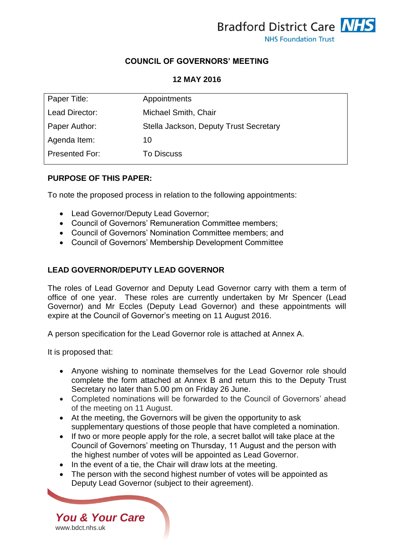

# **COUNCIL OF GOVERNORS' MEETING**

### **12 MAY 2016**

| Appointments                           |
|----------------------------------------|
| Michael Smith, Chair                   |
| Stella Jackson, Deputy Trust Secretary |
| 10                                     |
| <b>To Discuss</b>                      |
|                                        |

### **PURPOSE OF THIS PAPER:**

To note the proposed process in relation to the following appointments:

- Lead Governor/Deputy Lead Governor;
- Council of Governors' Remuneration Committee members;
- Council of Governors' Nomination Committee members; and
- Council of Governors' Membership Development Committee

### **LEAD GOVERNOR/DEPUTY LEAD GOVERNOR**

The roles of Lead Governor and Deputy Lead Governor carry with them a term of office of one year. These roles are currently undertaken by Mr Spencer (Lead Governor) and Mr Eccles (Deputy Lead Governor) and these appointments will expire at the Council of Governor's meeting on 11 August 2016.

A person specification for the Lead Governor role is attached at Annex A.

It is proposed that:

- Anyone wishing to nominate themselves for the Lead Governor role should complete the form attached at Annex B and return this to the Deputy Trust Secretary no later than 5.00 pm on Friday 26 June.
- Completed nominations will be forwarded to the Council of Governors' ahead of the meeting on 11 August.
- At the meeting, the Governors will be given the opportunity to ask supplementary questions of those people that have completed a nomination.
- If two or more people apply for the role, a secret ballot will take place at the Council of Governors' meeting on Thursday, 11 August and the person with the highest number of votes will be appointed as Lead Governor.
- In the event of a tie, the Chair will draw lots at the meeting.
- The person with the second highest number of votes will be appointed as Deputy Lead Governor (subject to their agreement).

*You & Your Care* [www.bdct.nhs.uk](http://www.bdct.nhs.uk/)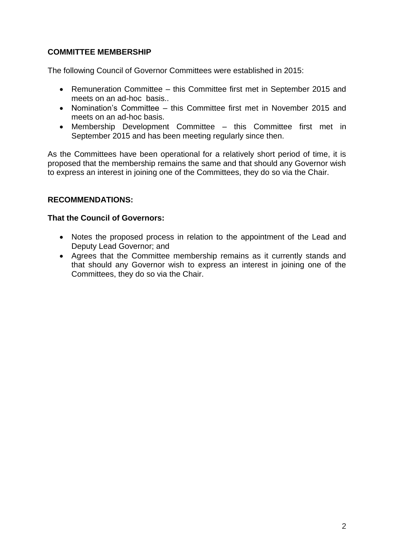# **COMMITTEE MEMBERSHIP**

The following Council of Governor Committees were established in 2015:

- Remuneration Committee this Committee first met in September 2015 and meets on an ad-hoc basis..
- Nomination's Committee this Committee first met in November 2015 and meets on an ad-hoc basis.
- Membership Development Committee this Committee first met in September 2015 and has been meeting regularly since then.

As the Committees have been operational for a relatively short period of time, it is proposed that the membership remains the same and that should any Governor wish to express an interest in joining one of the Committees, they do so via the Chair.

# **RECOMMENDATIONS:**

# **That the Council of Governors:**

- Notes the proposed process in relation to the appointment of the Lead and Deputy Lead Governor; and
- Agrees that the Committee membership remains as it currently stands and that should any Governor wish to express an interest in joining one of the Committees, they do so via the Chair.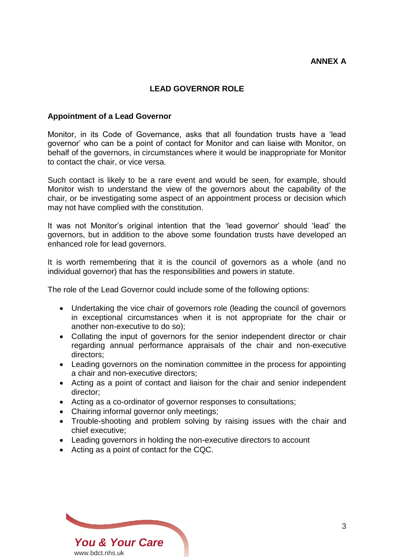# **LEAD GOVERNOR ROLE**

#### **Appointment of a Lead Governor**

Monitor, in its Code of Governance, asks that all foundation trusts have a 'lead governor' who can be a point of contact for Monitor and can liaise with Monitor, on behalf of the governors, in circumstances where it would be inappropriate for Monitor to contact the chair, or vice versa.

Such contact is likely to be a rare event and would be seen, for example, should Monitor wish to understand the view of the governors about the capability of the chair, or be investigating some aspect of an appointment process or decision which may not have complied with the constitution.

It was not Monitor's original intention that the 'lead governor' should 'lead' the governors, but in addition to the above some foundation trusts have developed an enhanced role for lead governors.

It is worth remembering that it is the council of governors as a whole (and no individual governor) that has the responsibilities and powers in statute.

The role of the Lead Governor could include some of the following options:

- Undertaking the vice chair of governors role (leading the council of governors in exceptional circumstances when it is not appropriate for the chair or another non-executive to do so);
- Collating the input of governors for the senior independent director or chair regarding annual performance appraisals of the chair and non-executive directors;
- Leading governors on the nomination committee in the process for appointing a chair and non-executive directors;
- Acting as a point of contact and liaison for the chair and senior independent director;
- Acting as a co-ordinator of governor responses to consultations;
- Chairing informal governor only meetings;
- Trouble-shooting and problem solving by raising issues with the chair and chief executive;
- Leading governors in holding the non-executive directors to account
- Acting as a point of contact for the CQC.

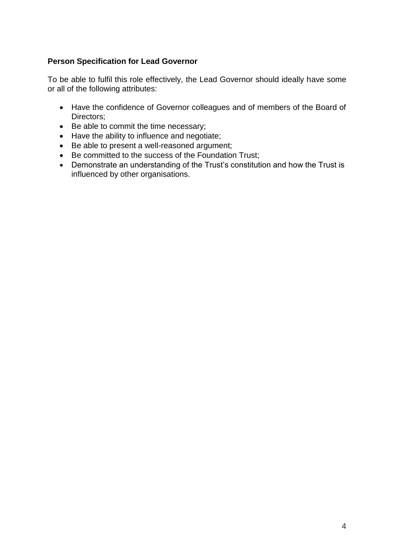# **Person Specification for Lead Governor**

To be able to fulfil this role effectively, the Lead Governor should ideally have some or all of the following attributes:

- Have the confidence of Governor colleagues and of members of the Board of Directors;
- Be able to commit the time necessary;
- Have the ability to influence and negotiate;
- Be able to present a well-reasoned argument;
- Be committed to the success of the Foundation Trust;
- Demonstrate an understanding of the Trust's constitution and how the Trust is influenced by other organisations.